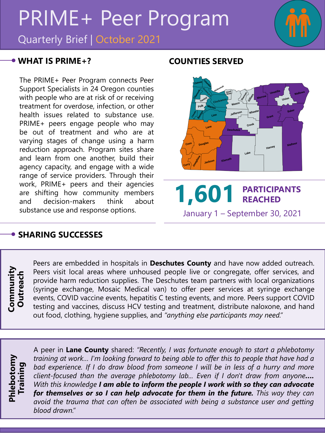# PRIME+ Peer Program

Quarterly Brief | October 2021

#### **WHAT IS PRIME+? COUNTIES SERVED**

The PRIME+ Peer Program connects Peer Support Specialists in 24 Oregon counties with people who are at risk of or receiving treatment for overdose, infection, or other health issues related to substance use. PRIME+ peers engage people who may be out of treatment and who are at varying stages of change using a harm reduction approach. Program sites share and learn from one another, build their agency capacity, and engage with a wide range of service providers. Through their work, PRIME+ peers and their agencies are shifting how community members and decision-makers think about substance use and response options.



January 1 – September 30, 2021

### **SHARING SUCCESSES**

**Community**  Community<br>Outreach **Outreach**

Peers are embedded in hospitals in **Deschutes County** and have now added outreach. Peers visit local areas where unhoused people live or congregate, offer services, and provide harm reduction supplies. The Deschutes team partners with local organizations (syringe exchange, Mosaic Medical van) to offer peer services at syringe exchange events, COVID vaccine events, hepatitis C testing events, and more. Peers support COVID testing and vaccines, discuss HCV testing and treatment, distribute naloxone, and hand out food, clothing, hygiene supplies, and *"anything else participants may need."*



A peer in **Lane County** shared: *"Recently, I was fortunate enough to start a phlebotomy training at work… I'm looking forward to being able to offer this to people that have had a bad experience. If I do draw blood from someone I will be in less of a hurry and more client-focused than the average phlebotomy lab... Even if I don't draw from anyone…. With this knowledge I am able to inform the people I work with so they can advocate for themselves or so I can help advocate for them in the future. This way they can avoid the trauma that can often be associated with being a substance user and getting blood drawn."*